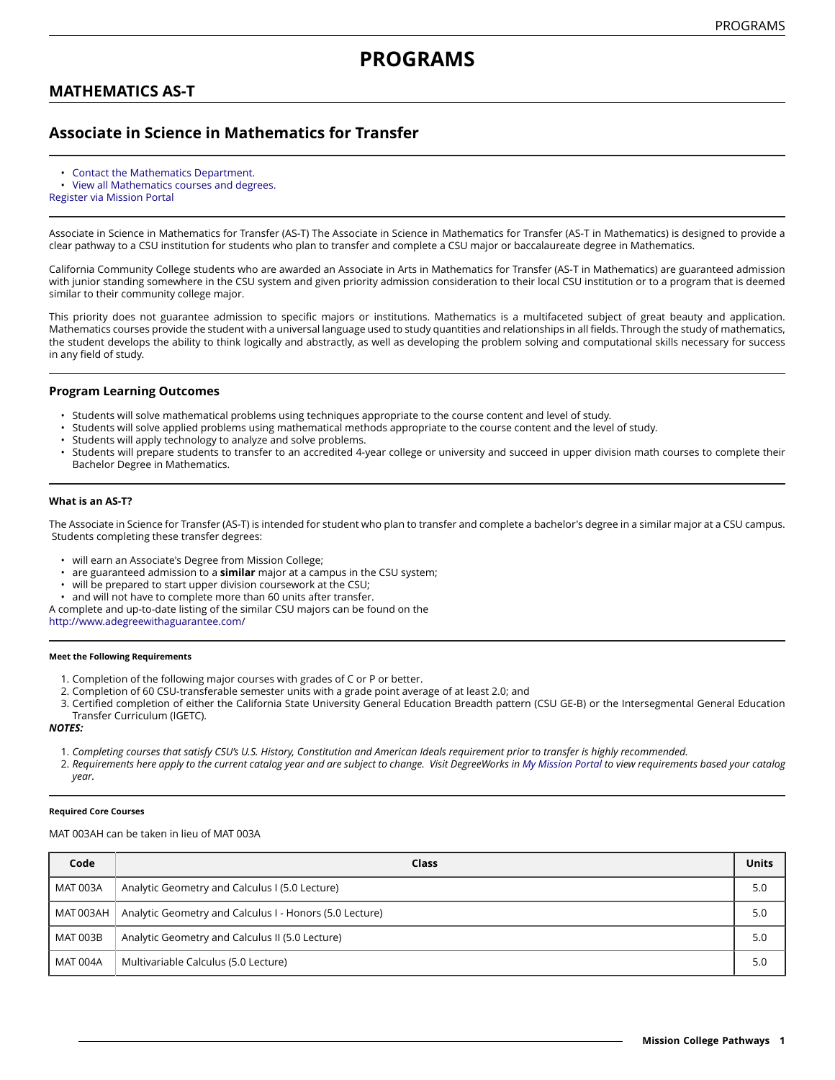# **MATHEMATICS AS-T**

# **Associate in Science in Mathematics for Transfer**

- [Contact the Mathematics Department.](https://missioncollege.edu/depts/math/)
- View all [Mathematics](http://majors.missioncollege.edu/current/courses/mat.html) courses and degrees.
- [Register via Mission Portal](https://web.wvm.edu/)

Associate in Science in Mathematics for Transfer (AS-T) The Associate in Science in Mathematics for Transfer (AS-T in Mathematics) is designed to provide a clear pathway to a CSU institution for students who plan to transfer and complete a CSU major or baccalaureate degree in Mathematics.

California Community College students who are awarded an Associate in Arts in Mathematics for Transfer (AS-T in Mathematics) are guaranteed admission with junior standing somewhere in the CSU system and given priority admission consideration to their local CSU institution or to a program that is deemed similar to their community college major.

This priority does not guarantee admission to specific majors or institutions. Mathematics is a multifaceted subject of great beauty and application. Mathematics courses provide the student with a universal language used to study quantities and relationships in all fields. Through the study of mathematics, the student develops the ability to think logically and abstractly, as well as developing the problem solving and computational skills necessary for success in any field of study.

# **Program Learning Outcomes**

- Students will solve mathematical problems using techniques appropriate to the course content and level of study.
- Students will solve applied problems using mathematical methods appropriate to the course content and the level of study.
- Students will apply technology to analyze and solve problems.
- Students will prepare students to transfer to an accredited 4-year college or university and succeed in upper division math courses to complete their Bachelor Degree in Mathematics.

### **What is an AS-T?**

The Associate in Science for Transfer (AS-T) is intended for student who plan to transfer and complete a bachelor's degree in a similar major at a CSU campus. Students completing these transfer degrees:

- will earn an Associate's Degree from Mission College;
- are guaranteed admission to a **similar** major at a campus in the CSU system;
- will be prepared to start upper division coursework at the CSU;
- and will not have to complete more than 60 units after transfer.

A complete and up-to-date listing of the similar CSU majors can be found on the

[http://www.adegreewithaguarantee.com](http://www.adegreewithaguarantee.com/)/

#### **Meet the Following Requirements**

- 1. Completion of the following major courses with grades of C or P or better.
- 2. Completion of 60 CSU-transferable semester units with a grade point average of at least 2.0; and
- 3. Certified completion of either the California State University General Education Breadth pattern (CSU GE-B) or the Intersegmental General Education Transfer Curriculum (IGETC).

#### *NOTES:*

- 1. Completing courses that satisfy CSU's U.S. History, Constitution and American Ideals requirement prior to transfer is highly recommended.
- 2. Requirements here apply to the current catalog year and are subject to change. Visit DegreeWorks in [My Mission Portal](https://wvmccd.sharepoint.com/sites/MCPortal) to view requirements based your catalog *year.*

#### **Required Core Courses**

MAT 003AH can be taken in lieu of MAT 003A

| Code      | Class                                                   | <b>Units</b> |
|-----------|---------------------------------------------------------|--------------|
| MAT 003A  | Analytic Geometry and Calculus I (5.0 Lecture)          | 5.0          |
| MAT 003AH | Analytic Geometry and Calculus I - Honors (5.0 Lecture) | 5.0          |
| MAT 003B  | Analytic Geometry and Calculus II (5.0 Lecture)         | 5.0          |
| MAT 004A  | Multivariable Calculus (5.0 Lecture)                    | 5.0          |